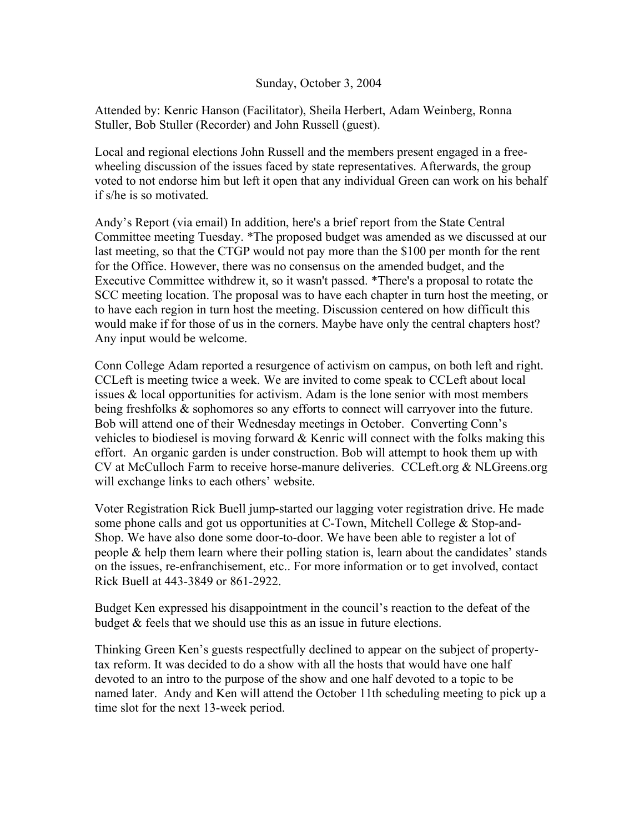## Sunday, October 3, 2004

Attended by: Kenric Hanson (Facilitator), Sheila Herbert, Adam Weinberg, Ronna Stuller, Bob Stuller (Recorder) and John Russell (guest).

Local and regional elections John Russell and the members present engaged in a freewheeling discussion of the issues faced by state representatives. Afterwards, the group voted to not endorse him but left it open that any individual Green can work on his behalf if s/he is so motivated.

Andy's Report (via email) In addition, here's a brief report from the State Central Committee meeting Tuesday. \*The proposed budget was amended as we discussed at our last meeting, so that the CTGP would not pay more than the \$100 per month for the rent for the Office. However, there was no consensus on the amended budget, and the Executive Committee withdrew it, so it wasn't passed. \*There's a proposal to rotate the SCC meeting location. The proposal was to have each chapter in turn host the meeting, or to have each region in turn host the meeting. Discussion centered on how difficult this would make if for those of us in the corners. Maybe have only the central chapters host? Any input would be welcome.

Conn College Adam reported a resurgence of activism on campus, on both left and right. CCLeft is meeting twice a week. We are invited to come speak to CCLeft about local issues & local opportunities for activism. Adam is the lone senior with most members being freshfolks & sophomores so any efforts to connect will carryover into the future. Bob will attend one of their Wednesday meetings in October. Converting Conn's vehicles to biodiesel is moving forward & Kenric will connect with the folks making this effort. An organic garden is under construction. Bob will attempt to hook them up with CV at McCulloch Farm to receive horse-manure deliveries. CCLeft.org & NLGreens.org will exchange links to each others' website.

Voter Registration Rick Buell jump-started our lagging voter registration drive. He made some phone calls and got us opportunities at C-Town, Mitchell College & Stop-and-Shop. We have also done some door-to-door. We have been able to register a lot of people  $\&$  help them learn where their polling station is, learn about the candidates' stands on the issues, re-enfranchisement, etc.. For more information or to get involved, contact Rick Buell at 443-3849 or 861-2922.

Budget Ken expressed his disappointment in the council's reaction to the defeat of the budget & feels that we should use this as an issue in future elections.

Thinking Green Ken's guests respectfully declined to appear on the subject of propertytax reform. It was decided to do a show with all the hosts that would have one half devoted to an intro to the purpose of the show and one half devoted to a topic to be named later. Andy and Ken will attend the October 11th scheduling meeting to pick up a time slot for the next 13-week period.